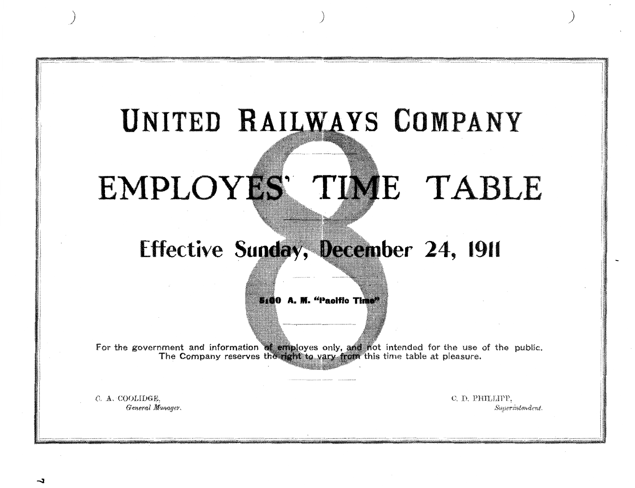## UNITED RAILWAYS COMPANY

# EMPLOYES' TIME TABLE

## Effective Sunday, December 24, 1911

5100 A. M. "Paolfic Time"

For the government and information of employes only, and not intended for the use of the public. The Company reserves the right to vary from this time table at pleasure.

C.A. COOLIDGE General Manager. C.D. PHILLIPP. Superintendent.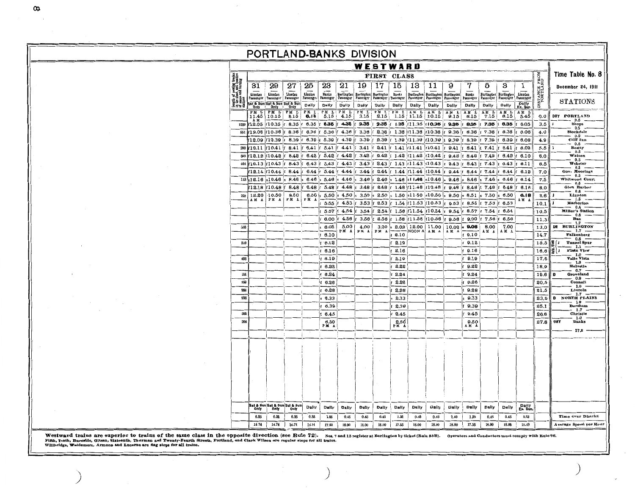| PORTLAND-BANKS DIVISION |                                                            |                             |                       |                                            |                      |                       |                           |                                        |              |              |                                                               |                                               |                   |                                 |                                    |                  |                      |                           |                                                   |
|-------------------------|------------------------------------------------------------|-----------------------------|-----------------------|--------------------------------------------|----------------------|-----------------------|---------------------------|----------------------------------------|--------------|--------------|---------------------------------------------------------------|-----------------------------------------------|-------------------|---------------------------------|------------------------------------|------------------|----------------------|---------------------------|---------------------------------------------------|
| WESTWARD                |                                                            |                             |                       |                                            |                      |                       |                           |                                        |              |              |                                                               |                                               |                   |                                 |                                    |                  |                      |                           |                                                   |
|                         |                                                            |                             | FIRST CLASS           |                                            |                      |                       |                           |                                        |              |              |                                                               |                                               |                   |                                 |                                    | Time Table No. 8 |                      |                           |                                                   |
|                         | of pessing tracks<br>ulear, and location<br>es and turning | 31                          | 29                    | 27                                         | 25                   | 23                    | 21                        | 19                                     | 17           | 15           | 13                                                            | 11                                            | 9                 | 7                               | 5                                  | 3                | 1                    | DISTANCE FROM<br>PORTLAND | December 24, 1911                                 |
|                         |                                                            | Linuton                     | Linuton               | Linnton                                    | Lianton<br>Passenger | Banks<br>Passenger    |                           | Barlington Burlington Burlington Banks |              |              | Passenger                                                     | Burlington Burlington Burlington<br>Passenger | Passenger         | Banks<br>Passenger              | Burlington Burlington<br>Passenger | Passenger        | Linnton<br>Passenger |                           |                                                   |
|                         | <b>Lagra</b><br>in the scale<br>of the final               | Passenger                   | Passenger             | Passenger<br>Sat & Sun Sat & Sun Sat & Sun | Dally                | Daily                 | Passenger<br>Dally        | Daily                                  | Dally        | Dally        | Dally                                                         | Dally                                         | Dally             | Dally                           | Dally                              | Dally            | Dally<br>Ex. Sur     |                           | <b>STATIONS</b>                                   |
|                         |                                                            |                             | PM L   PM L<br> 10.15 | PM L                                       | PM<br>6.15           | PM L                  | PМ<br>L<br>4.15           | PМ<br>L                                | PM<br>L      | P M<br>L     | AM L<br>$1.15$ 11.15 10.15                                    | AM L                                          | AM L<br>9.15      | AM L<br>8.15                    | AM<br>L<br>7.15                    | AM L<br>6.15     | AM L<br>5.45         | 0.0                       | DRY PORTLAND                                      |
|                         |                                                            | 11.45<br>A M<br>1229 f12.05 | f10.35 f              | 8.15<br>$.8.35$ f                          |                      | 5.15<br>$6.35$ $5.35$ | 4.35                      | 3.15<br>$(3.35 \pm 2.35)$              | 2.15         |              | $1.35$ $11.35$ $10.35$                                        |                                               | 9.35f             | 8.35 f 7.35                     |                                    | 6.35             | $f$ 6.05             | 3,5                       | 3.5<br><b>Shops</b>                               |
|                         |                                                            | 551 f12.06                  | f10.36                | 8.36                                       |                      | 6.36 f 5.36 f 4.36    |                           | 3.36                                   |              |              |                                                               | 2.36 f 1.36 f 11.36 f 10.36 f 9.36            |                   | $8.36$ f                        | 7.36                               | 6.36             | 6.06                 | 4.0                       | 0.5<br>Stockdale                                  |
|                         |                                                            | 12.09                       |                       | r10.39 r 8.39 r 6.39 r 5.39 r 4.39         |                      |                       |                           | 3.39                                   |              |              |                                                               | 2.39 f 1.39 f 11.39 f 10.39 f 9.39            |                   | $\frac{1}{2}$ 8.39 f 7.39       |                                    | 6.39             | 6.08                 | 4.9                       | 0.9<br>Cliff Inn                                  |
|                         |                                                            | 200 12.11                   | $f10.41$ f            | 8.41                                       | $6.41$ f $5.41$      |                       | $f$ 4.41 $f$              | $3.41 \t{f}$                           | $2.41$ if    |              | $1.41$ $ 11.41 $ $ 10.41 $                                    |                                               | 9.41              | $\frac{1}{2}$ 8.41 if           | 7.41                               | 6.41             | 6.09                 | 5.5                       | 0.6<br><b>Beatty</b><br>0.5                       |
|                         |                                                            | $605$ $f12.12$              | f10.42                | $8.42$ f                                   | 6.42;                |                       | $5.42$ f $4.42$ f         |                                        |              |              | $.3.42$ $\cdot$ 2.42 $\cdot$ 1.42 $\cdot$ 11.42 $\cdot$ 10.42 |                                               |                   | $9.42$ f $8.42$ f $7.42$        |                                    | $6.42 \pm 6.10$  |                      | 6,0                       | Watson<br>0.5                                     |
|                         | 404                                                        | f12.13                      | 10.43                 | 8.43                                       | 6.43 f               |                       | 5.43 f 4.43 f             | $3.43 \pm 2.43$                        |              |              | 1.43 $f11.43$ $f10.43$                                        |                                               | 9.43 f            | 8.43 f                          | 7.43                               | 6.43             | 6.11                 | 6,5                       | Webster<br>0.5                                    |
|                         |                                                            | 12.14                       | f10.44                | 8.44                                       | 6.44                 | 5.44                  | 4.44 $\ $ f               | 3.44                                   | 2.44         |              | 1.44 f11.44 f10.44                                            |                                               | $9.44$ if         | $8.44$ f                        | 7.44                               | 6.44             | 6.12                 | 7.0                       | Gov. Moorings<br>0.5                              |
|                         |                                                            | 113 s12.16                  | s10.46                | 8.46                                       | 6.46                 | 5.46                  | $s$ 4.46 $ s $            | 3.46                                   | 2.46         |              | 1.46 st $1.46$ s10.46                                         |                                               | 9.46              | 8.46                            | 7.46<br>7.48                       | 6.46 f<br>6.48   | 6.14<br>6.16         | 7.5                       | Whitwood Court<br>0.5<br>Glen Harbor              |
|                         | 229                                                        | 12.18<br>12.20              | 10.48<br>10.50        | 8.48<br>8.50                               | 6.48<br>6.50         | 5.50                  | 5.48 f 4.48 f<br>$4.50$ s | 3.48<br>3.50                           | 2.48<br>2.50 |              | 1.48 f11.48 f10.48<br>$\vert$ s 1.50 s11.50 s10.50            |                                               | $9.48 $ f<br>9.50 | 8.48<br>8.51                    | 7.50                               | 6.50             | 6.18                 | 8.0<br>8.6                | $0.6 -$<br>Linnton                                |
|                         |                                                            | AM A                        | PM A                  | PМ                                         | PМ                   | 5.55                  | 4.53 $ f $                | 3.53                                   | 2.53         |              | 1.54   11.53   10.53                                          |                                               | $9.53$ f          | 8.55                            | 7.53                               | 6.53             | ۱м                   | 10.1                      | $1.5 - -$<br>Harborton                            |
|                         |                                                            |                             |                       |                                            |                      | 5.57                  | 4.54                      | 3.54                                   | 2.54         |              | 1.56 $f11.54$ $f10.54$                                        |                                               | 9.54              | 8.57                            | 7.54                               | 6.54             |                      | 10.5                      | 0.4<br><b>Miller's Station</b>                    |
|                         |                                                            |                             |                       |                                            |                      | 6.00                  | 4.56                      | 3.56                                   | 2.56         |              | 1.58 f11.56 f10.56                                            |                                               | $9.56$ f          | 9.00                            | 7.56                               | 6.56             |                      | 11,3                      | - 0.8<br>Ban<br>1.7                               |
|                         | 533                                                        |                             |                       |                                            |                      | 6.05                  | 5.00<br>PM A              | 4.00<br>PM A                           | 3.00<br>PM A | 2.02         | NOON A A M A                                                  | 12.00   11.00                                 | $10.00$ s<br>AM A | 9.06                            | 8.00<br>M A                        | 7.00<br>AM A     |                      | 13.0                      | DR BURLINGTON<br>$-1.7$ $-$                       |
|                         |                                                            |                             |                       |                                            |                      | 16.10                 |                           |                                        |              | 2.10         |                                                               |                                               |                   | $f$ 9.10                        |                                    |                  |                      | 14.7                      | Falkenberg<br>0.8                                 |
|                         | 240                                                        |                             |                       |                                            |                      | 16.12                 |                           |                                        |              | 2.12         |                                                               |                                               |                   | $f$ 9.12                        |                                    |                  |                      | 15.5                      | <b>Tunnel Spur</b><br>- 1.1 -                     |
|                         |                                                            |                             |                       |                                            |                      | 6.16                  |                           |                                        |              | 2.16         |                                                               |                                               |                   | $f$ 9.16                        |                                    |                  |                      | 16.6                      | ١Ė<br>Plain View<br>ÌI.<br>$1.0$ .<br>Valle Vista |
|                         | 403                                                        |                             |                       |                                            |                      | 16.19                 |                           |                                        |              | 2.19<br>2.22 |                                                               |                                               |                   | 9.19<br>9.22                    |                                    |                  |                      | 17.6<br>18.9              | - 1.3 -<br>Helvetia                               |
|                         | 155                                                        |                             |                       |                                            |                      | 6.22<br>6.24          |                           |                                        |              | 2.24         |                                                               |                                               |                   | 19.24                           |                                    |                  |                      | 19.6                      | $0.7$ .<br>Groveland                              |
|                         | 359                                                        |                             |                       |                                            |                      | 16.26                 |                           |                                        |              | 2.26         |                                                               |                                               |                   | $f$ 9.26                        |                                    |                  |                      | 20.5                      | $-0.9$<br>Connell                                 |
|                         | 366                                                        |                             |                       |                                            |                      | 6.28                  |                           |                                        |              | 2.28         |                                                               |                                               |                   | 9.28                            |                                    |                  |                      | 21.5                      | - 1.0 -<br>Lincoln                                |
|                         | 938                                                        |                             |                       |                                            |                      | s 6.33                |                           |                                        |              | 2.33         |                                                               |                                               |                   | 9.33                            |                                    |                  |                      | 23.2                      | $-1.7$<br>D NORTH PLAINS                          |
|                         |                                                            |                             |                       |                                            |                      | 6.39                  |                           |                                        |              | 2.39         |                                                               |                                               |                   | 19.39                           |                                    |                  |                      | 25.1                      | $-1.9$<br>Dersham                                 |
|                         | 800                                                        |                             |                       |                                            |                      | 6.45                  |                           |                                        |              | 2.45         |                                                               |                                               |                   | 19.45                           |                                    |                  |                      | 26.8                      | $-1.7$<br>Christie<br>1.0                         |
|                         | 200                                                        |                             |                       |                                            |                      | 6.50<br>PM A          |                           |                                        |              | 2.50<br>PM A |                                                               |                                               |                   | $0.50$<br>$\Lambda$ M $\Lambda$ |                                    |                  |                      | 27.8                      | DRY<br>Banks                                      |
|                         |                                                            |                             |                       |                                            |                      |                       |                           |                                        |              |              |                                                               |                                               |                   |                                 |                                    |                  |                      |                           | $-27.8 -$                                         |
|                         |                                                            |                             |                       |                                            |                      |                       |                           |                                        |              |              |                                                               |                                               |                   |                                 |                                    |                  |                      |                           |                                                   |
|                         |                                                            |                             |                       |                                            |                      |                       |                           |                                        |              |              |                                                               |                                               |                   |                                 |                                    |                  |                      |                           |                                                   |
|                         |                                                            |                             |                       |                                            |                      |                       |                           |                                        |              |              |                                                               |                                               |                   |                                 |                                    |                  |                      |                           |                                                   |
|                         |                                                            |                             |                       |                                            |                      |                       |                           |                                        |              |              |                                                               |                                               |                   |                                 |                                    |                  |                      |                           |                                                   |
|                         |                                                            |                             |                       |                                            |                      |                       |                           |                                        |              |              |                                                               |                                               |                   |                                 |                                    |                  |                      |                           |                                                   |
|                         |                                                            |                             |                       |                                            |                      |                       |                           |                                        |              |              |                                                               |                                               |                   |                                 |                                    |                  |                      |                           |                                                   |
|                         |                                                            |                             |                       |                                            |                      |                       |                           |                                        |              |              |                                                               |                                               |                   |                                 |                                    |                  |                      |                           |                                                   |
|                         |                                                            |                             |                       | Sat & Sun Sat & Sun Sat & Sun              |                      |                       |                           |                                        |              |              |                                                               |                                               |                   |                                 |                                    |                  |                      |                           |                                                   |
|                         |                                                            | <b>Only</b>                 | Only                  | Only                                       | Dally                | Dally                 | Daily                     | Dally                                  | Dally        | Dally        | Dally                                                         | Dally                                         | Dally             | Dally                           | Dally                              | Dally            | Daily<br>Ex. Sun.    |                           |                                                   |
|                         |                                                            | 0.85                        | 0.85                  | 0.35                                       | 0.35                 | 1.85                  | 0.45                      | 0.45                                   | 0.45         | 1.85         | 0.46                                                          | 0.45                                          | 0.45              | 1.85                            | 0.45                               | 0.45             | 0.83                 |                           | Time Over District                                |
|                         |                                                            | 14.74                       | 14.74                 | 14.74                                      | 14.74                | 17.55                 | 18.00                     | 18.00                                  | 18,00        | 17.55        | 18.00                                                         | 18.00                                         | 18.00             | 17.55                           | 18.00                              | 18.00            | 15.49                |                           | Average Speed per Hour                            |

 $\sim$ 

 $\sim$ 

Westward trains are superior to trains of the same class in the opposite direction (see Rule 72). Nos. 7 and 15 register at Burlington by ticket (Rule 83B). Operators and Conductors must comply with Rule 96.<br>Fifth, Tenth,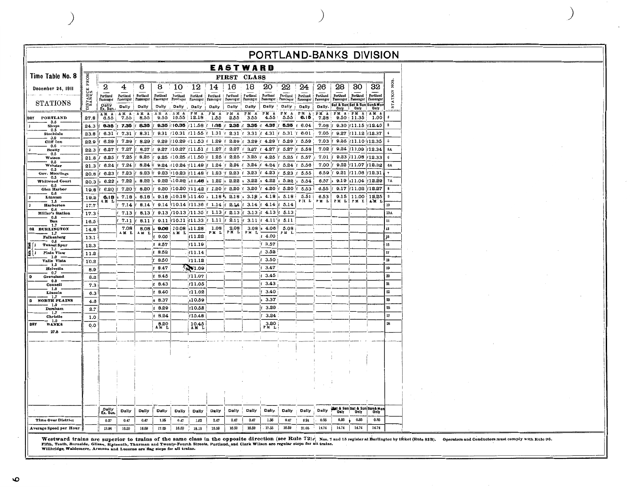|                                                        | PORTLAND-BANKS DIVISION |                                                                           |                       |                       |                       |                          |                                                                      |                       |                       |                                          |                                                                 |                       |                       |                       |                                                             |                                                       |                              |                                                                                                                                                                                                                                                                                                                                                                                                                                                              |  |  |  |
|--------------------------------------------------------|-------------------------|---------------------------------------------------------------------------|-----------------------|-----------------------|-----------------------|--------------------------|----------------------------------------------------------------------|-----------------------|-----------------------|------------------------------------------|-----------------------------------------------------------------|-----------------------|-----------------------|-----------------------|-------------------------------------------------------------|-------------------------------------------------------|------------------------------|--------------------------------------------------------------------------------------------------------------------------------------------------------------------------------------------------------------------------------------------------------------------------------------------------------------------------------------------------------------------------------------------------------------------------------------------------------------|--|--|--|
|                                                        |                         |                                                                           |                       |                       |                       |                          |                                                                      |                       |                       | EASTWARD                                 |                                                                 |                       |                       |                       |                                                             |                                                       |                              |                                                                                                                                                                                                                                                                                                                                                                                                                                                              |  |  |  |
| Time Table No. 8                                       | FROM                    |                                                                           |                       |                       |                       |                          |                                                                      |                       |                       | FIRST CLASS                              |                                                                 |                       |                       |                       |                                                             |                                                       |                              |                                                                                                                                                                                                                                                                                                                                                                                                                                                              |  |  |  |
| December 24, 1911                                      |                         | 2                                                                         | 4                     | 6                     | 8                     | 10                       | 12                                                                   | 14                    | 16                    | 18                                       | 20                                                              | $\overline{22}$       | 24                    | 26                    | 28                                                          | 30                                                    | 32                           | NOS.                                                                                                                                                                                                                                                                                                                                                                                                                                                         |  |  |  |
|                                                        | DISTANCE                | Portland<br>Passenger                                                     | Portland<br>Passenger | Portland<br>Passenger | Portland<br>Passenger | Portland<br>Passenger    | Portland<br>Passenger                                                | Portland<br>Passenger | Portland<br>Prosenger | Pertland<br>Passenger                    | Portland<br>Passenger                                           | Pertland<br>Passenger | Portland<br>Passenger | Portland<br>Passenger | Portland<br>Passenger   Passenger   Passenger               | Portland                                              | Portland                     | STATION                                                                                                                                                                                                                                                                                                                                                                                                                                                      |  |  |  |
| <b>STATIONS</b>                                        |                         | Dally<br>Ex. Sun                                                          | Dally                 | Daily                 |                       | Dally Dally Dally        |                                                                      | Dally                 | Daily                 | Dally                                    | Daily                                                           | Dally i               | Dally                 |                       | Dally. Sat & Sun Sat & Sun Sun& More<br>Only Only Only Only |                                                       |                              |                                                                                                                                                                                                                                                                                                                                                                                                                                                              |  |  |  |
| DRY PORTLAND                                           | 27.8                    | AM A<br>6.55                                                              | AM A<br>7.55          | AM A<br>8.55          | A M<br>$\mathbf{A}$   | AM A<br>9.55 10.55 12.18 | PM A                                                                 | P M A<br>1.55         | PM A<br>2.55          | $\overline{P M}$<br>$\mathbf{A}$<br>3.55 | P M A<br>4.55                                                   | PM A<br>5.55          | PM A<br>6.15          | PM A<br>7.28          | PM A PM A AM A                                              | 9.50:11.35:1.00                                       |                              | $\bf{0}$                                                                                                                                                                                                                                                                                                                                                                                                                                                     |  |  |  |
| 3.5<br>Shops                                           | 24.3                    | $6.35$ $\pm 7.35$                                                         |                       | 8.35                  |                       |                          | $9.35$ $ 10.35$ $ 11.58$ $ 1.35$                                     |                       |                       | 2.35 3.35 6                              | 4.35                                                            |                       | $5.35 + 6.04$         | $7.08$ if             |                                                             | $9.30$ if 11.15 if 12.40                              |                              |                                                                                                                                                                                                                                                                                                                                                                                                                                                              |  |  |  |
| 0.5<br>Stockdale<br>0.9                                | 23.8                    | $6.31$ $\mid$ 7.31                                                        |                       | 8.31                  |                       |                          | 9.31 $(10.31 \cdot 11.55)$ $(1.31$                                   |                       |                       | 2.31 $\pm$ 3.31 $\pm$                    | 4.31                                                            |                       | $5.31$ f $6.01$       | $7.05$ if             |                                                             | $9.27$ $ 11.12 $ $ 12.37$                             |                              |                                                                                                                                                                                                                                                                                                                                                                                                                                                              |  |  |  |
| Cliff Inn<br>0.6                                       | 22.9                    | 6.29                                                                      | 7.29                  | 8.29                  | 9.29                  |                          | $10.29$ $11.53$ $1.29$                                               |                       |                       | 2.29 1 3.29 1 4.29                       |                                                                 | 5.29                  | 5.59<br>.ť            | $7.03$ f              |                                                             | $9.25$ $f11.10$ $f12.35$                              |                              |                                                                                                                                                                                                                                                                                                                                                                                                                                                              |  |  |  |
| <b>Beatty</b><br>0.5                                   | 22.3                    | $6.27$ f                                                                  | 7.27                  | 8.27<br>8.25          |                       |                          | 9.27 [10.27 [11.51 [ 1.27<br>9.25 (10.25 (11.50 ) 1.25 (2.25         |                       | 2.27                  | 13.27                                    | $f$ 4.27 $f$<br>$f$ 3.25 $f$ 4.25 $f$                           | $5.27$ f              | 5.58<br>5.25 f 5.57   | $7.02$ f<br>$7.01$ if |                                                             | $9.24$ $f11.09$ $f12.34$<br>$9.23$ $ 11.08 $ $ 12.33$ |                              | 5Α                                                                                                                                                                                                                                                                                                                                                                                                                                                           |  |  |  |
| Watson<br>0.5<br>Webster                               | 21.8<br>21.3            | 8.25<br>6.24                                                              | 7.25<br>7.24          | 8.24                  |                       | 9.24 if 10.24 if 11.49   |                                                                      | ١F                    |                       |                                          | 1.24 $\sqrt{2}$ 2.24 $\sqrt{2}$ 3.24 $\sqrt{2}$ 4.24 $\sqrt{2}$ |                       | 5.24 f 5.56           | $7.00 \;$ if          |                                                             | $9.22$ $ 11.07 12.32$                                 |                              | 6A                                                                                                                                                                                                                                                                                                                                                                                                                                                           |  |  |  |
| 0.5<br>Gov. Moorings                                   | 20.8                    | 6.23                                                                      | 7.23                  | $8.23$ $ $ f          |                       |                          | 9.23 10.23 11.48 1.23 1 2.23 1 3.23 1 4.23                           |                       |                       |                                          |                                                                 |                       | 5.23 6.55             | 6.59                  |                                                             | $9.21$ $ 11.06 $ $ 12.31$                             |                              |                                                                                                                                                                                                                                                                                                                                                                                                                                                              |  |  |  |
| 0.5<br>Whitwood Court<br>0.5                           | 20.3                    | 6.22                                                                      | 7.22                  | 8.22                  |                       |                          | $9.22$ s10.22 s11.46 s 1.22                                          |                       |                       | $\vert$ s 2.22 s 3.22 s 4.22             |                                                                 | $s$ 5.22              | 5.54                  | 6.57                  |                                                             | $9.19$ s11.04 f12.29                                  |                              | <b>7A</b>                                                                                                                                                                                                                                                                                                                                                                                                                                                    |  |  |  |
| Glen Harbor<br>0.6                                     | 19.8                    | 6.20                                                                      | 7.20                  | 8.20                  | 9.20                  |                          | $10.20$ $11.42$ $1.20$ $1.20$ $1.20$ $1.320$ $1.420$ $1.5.20$ $1.5$  |                       |                       |                                          |                                                                 |                       | 5.53                  | 6.55                  |                                                             | $9.17$ f11.02 f12.27                                  |                              |                                                                                                                                                                                                                                                                                                                                                                                                                                                              |  |  |  |
| Linnton<br>$1.5 -$                                     | 19.2                    | $\left[\begin{array}{cc} 6.18 \\ \text{AM} & \text{L} \end{array}\right]$ | 7.18                  | 8.18<br>8.14:         | $s$ 9.18<br>9.14      |                          | $s10.18$ $s11.40$ $s1.18$ s 2.18 $s3.18$ $s418$ s<br>$10.14$ $11.36$ | 1.14                  | 62.14                 | 3.14                                     | 4.14                                                            | 5.18<br>5.14          | 5.51<br>PN L          | 6.53<br>PM L          | PM L                                                        | 9.15 11.00 18.25<br>PML PML AML                       |                              | Ð                                                                                                                                                                                                                                                                                                                                                                                                                                                            |  |  |  |
| <b>Harborton</b><br>$0.4 -$<br><b>Miller's Station</b> | 17.7<br>17.3            |                                                                           | 7.14<br>7.13          | 8.13                  | 9.13                  | $10.13$ , $11.35$        |                                                                      |                       | $1.13$ $\mid$ 2.13    |                                          | $3.13$ $f$ 4.13                                                 | 5.13                  |                       |                       |                                                             |                                                       |                              | 10<br>10A                                                                                                                                                                                                                                                                                                                                                                                                                                                    |  |  |  |
| 0.8<br>Ban                                             | 16.5                    |                                                                           | 7.11                  | 8.11                  | 9.11                  | r10.11 r11.33            |                                                                      |                       | $1.11$ $f$ 2.11       |                                          | $3.11$ $\mid$ 4.11 $\mid$ f                                     | 5.11                  |                       |                       |                                                             |                                                       |                              | $\mathbf{11}% \qquad \qquad \mathbf{22}% \qquad \qquad \mathbf{23}% \qquad \mathbf{24}% \qquad \mathbf{24}% \qquad \mathbf{24}% \qquad \mathbf{25}% \qquad \mathbf{25}% \qquad \mathbf{25}% \qquad \mathbf{26}% \qquad \mathbf{26}% \qquad \mathbf{26}% \qquad \mathbf{27}% \qquad \mathbf{27}% \qquad \mathbf{27}% \qquad \mathbf{27}% \qquad \mathbf{27}% \qquad \mathbf{27}% \qquad \mathbf{27}% \qquad \mathbf{27}% \qquad \mathbf{27}% \qquad \mathbf{$ |  |  |  |
| 1.7<br>DR BURLINGTON                                   | 14.8                    |                                                                           | 7.08                  | 8.08                  | 9.06                  | $10.08$ s11.28           |                                                                      | 1.08                  | 9.08                  |                                          | 3.08; 4.06                                                      | 5.08                  |                       |                       |                                                             |                                                       |                              | 13                                                                                                                                                                                                                                                                                                                                                                                                                                                           |  |  |  |
| $1.7 -$<br>Falkenberg<br>0.R                           | 13.1                    |                                                                           | AM L                  | AM L                  | 9.00                  | AМ<br>L                  | f11.22                                                               | PM L                  | PM L                  | PM L                                     | 14.00                                                           | PM<br>L               |                       |                       |                                                             |                                                       |                              | 15                                                                                                                                                                                                                                                                                                                                                                                                                                                           |  |  |  |
| Auto. Block<br>Tunnel Spur<br>. 1.1 .                  | 12.3                    |                                                                           |                       |                       | $f$ 8.57              |                          | f11.19                                                               |                       |                       |                                          | $f$ 3.57                                                        |                       |                       |                       |                                                             |                                                       |                              | I6                                                                                                                                                                                                                                                                                                                                                                                                                                                           |  |  |  |
| Plain View<br>$1.0$ .                                  | 11.2                    |                                                                           |                       |                       | 8.52                  |                          | f11.14                                                               |                       |                       |                                          | f 3.52                                                          |                       |                       |                       |                                                             |                                                       |                              | $17\,$                                                                                                                                                                                                                                                                                                                                                                                                                                                       |  |  |  |
| Valle Vista<br>1.3<br>Helvetia                         | 10.2                    |                                                                           |                       |                       | 8.50<br>8.47          |                          | f11.12<br>MY1.09                                                     |                       |                       |                                          | $f$ 3.50<br>13.47                                               |                       |                       |                       |                                                             |                                                       |                              | 18<br>19                                                                                                                                                                                                                                                                                                                                                                                                                                                     |  |  |  |
| 0.7<br>Ð<br>Groveland                                  | 8.9<br>8.2              |                                                                           |                       |                       | 8.45                  |                          | 11.07                                                                |                       |                       |                                          | 13.45                                                           |                       |                       |                       |                                                             |                                                       |                              | 20                                                                                                                                                                                                                                                                                                                                                                                                                                                           |  |  |  |
| 0.9<br>Connell                                         | 7.3                     |                                                                           |                       |                       | 8.43                  |                          | f11.05                                                               |                       |                       |                                          | 13.43                                                           |                       |                       |                       |                                                             |                                                       |                              | $\mathbf{21}$                                                                                                                                                                                                                                                                                                                                                                                                                                                |  |  |  |
| 1.0<br>Lincoln                                         | 8.3                     |                                                                           |                       |                       | 8.40                  |                          | 11.02                                                                |                       |                       |                                          | 13.40                                                           |                       |                       |                       |                                                             |                                                       |                              | 22                                                                                                                                                                                                                                                                                                                                                                                                                                                           |  |  |  |
| 1.7<br><b>NORTH PLAINS</b><br>$\mathbf{D}$<br>$-1.9$ . | 4.6                     |                                                                           |                       |                       | 8.37                  |                          | s10.59                                                               |                       |                       |                                          | 3.37                                                            |                       |                       |                       |                                                             |                                                       |                              | 23                                                                                                                                                                                                                                                                                                                                                                                                                                                           |  |  |  |
| Dersham<br>$1.7$ .                                     | 2.7                     |                                                                           |                       |                       | 8.29                  |                          | f10.52                                                               |                       |                       |                                          | f 3.29<br>3.24                                                  |                       |                       |                       |                                                             |                                                       |                              | 25<br>$27\,$                                                                                                                                                                                                                                                                                                                                                                                                                                                 |  |  |  |
| Christie<br>$-1.0$<br><b>BANK8</b><br><b>DRY</b>       | 1.0                     |                                                                           |                       |                       | 8.24<br>8.20          |                          | f10.48<br>10.45                                                      |                       |                       |                                          | $3.20$ PM $\,$ L                                                |                       |                       |                       |                                                             |                                                       |                              | ${\bf 28}$                                                                                                                                                                                                                                                                                                                                                                                                                                                   |  |  |  |
| $-27.8$                                                | 0.0                     |                                                                           |                       |                       | AM L                  |                          | AM L                                                                 |                       |                       |                                          |                                                                 |                       |                       |                       |                                                             |                                                       |                              |                                                                                                                                                                                                                                                                                                                                                                                                                                                              |  |  |  |
|                                                        |                         |                                                                           |                       |                       |                       |                          |                                                                      |                       |                       |                                          |                                                                 |                       |                       |                       |                                                             |                                                       |                              |                                                                                                                                                                                                                                                                                                                                                                                                                                                              |  |  |  |
|                                                        |                         |                                                                           |                       |                       |                       |                          |                                                                      |                       |                       |                                          |                                                                 |                       |                       |                       |                                                             |                                                       |                              |                                                                                                                                                                                                                                                                                                                                                                                                                                                              |  |  |  |
|                                                        |                         |                                                                           |                       |                       |                       |                          |                                                                      |                       |                       |                                          |                                                                 |                       |                       |                       |                                                             |                                                       |                              |                                                                                                                                                                                                                                                                                                                                                                                                                                                              |  |  |  |
|                                                        |                         |                                                                           |                       |                       |                       |                          |                                                                      |                       |                       |                                          |                                                                 |                       |                       |                       |                                                             |                                                       |                              |                                                                                                                                                                                                                                                                                                                                                                                                                                                              |  |  |  |
|                                                        |                         |                                                                           |                       |                       |                       |                          |                                                                      |                       |                       |                                          |                                                                 |                       |                       |                       |                                                             |                                                       |                              |                                                                                                                                                                                                                                                                                                                                                                                                                                                              |  |  |  |
|                                                        |                         |                                                                           |                       |                       |                       |                          |                                                                      |                       |                       |                                          |                                                                 |                       |                       |                       |                                                             |                                                       |                              |                                                                                                                                                                                                                                                                                                                                                                                                                                                              |  |  |  |
|                                                        |                         |                                                                           |                       |                       |                       |                          |                                                                      |                       |                       |                                          |                                                                 |                       |                       |                       |                                                             |                                                       |                              |                                                                                                                                                                                                                                                                                                                                                                                                                                                              |  |  |  |
|                                                        |                         |                                                                           |                       |                       |                       |                          |                                                                      |                       |                       |                                          |                                                                 |                       |                       |                       |                                                             |                                                       | Bat & Sun Sat & Sun Sun& Mon |                                                                                                                                                                                                                                                                                                                                                                                                                                                              |  |  |  |
|                                                        |                         | Dally<br>Ex. Sun.                                                         | Dally                 | Dally                 | Dally                 | Daliy                    | Dally                                                                | Daily                 | Dally                 | Dally                                    | <b>Dally</b>                                                    | Dally                 | Dally                 | Dally                 | Only                                                        | Only                                                  | Only                         |                                                                                                                                                                                                                                                                                                                                                                                                                                                              |  |  |  |
| Time Over District                                     |                         | 0.87                                                                      | 0.47                  | 0.47                  | 1.35                  | 0.47                     | 1.82                                                                 | 0.47                  | 0.47                  | 0.47                                     | 1.35                                                            | 0.47                  | 0.24                  | 0.85                  | 0.85                                                        | 0.85                                                  | 0.35                         |                                                                                                                                                                                                                                                                                                                                                                                                                                                              |  |  |  |
| Average Speed per Hour                                 |                         | 13.96                                                                     | 16.59                 | 16.59                 | 17.55                 | 18.59                    | 18.13                                                                | 16.69                 | 16.59                 | 16.59                                    | 17.55                                                           | 16.59                 | 21.06                 | 14.74                 | 14.74                                                       | 14.74                                                 | 14.74                        |                                                                                                                                                                                                                                                                                                                                                                                                                                                              |  |  |  |

 $\big)$ 

Westward trains are superior to trains of the same class in the opposite direction (see Rule 72) $\epsilon_1^{\circ}$  Nos. 7 and 15 register at Burlington by titket (Rule 83B). Operators and Conductors must comply with Rule 96.<br>Fift

 $\setminus$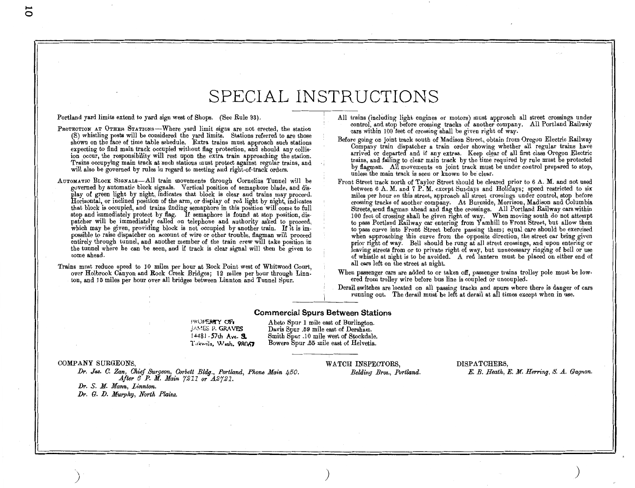### SPECIAL INSTRUCTIONS

Portland yard limits extend to yard sign west of Shops. (See Rule 93).

- PROTECTION AT OTHER STATIONS-Where yard limit signs are not erected, the station (S) whistling posts will be considered the yard limits. Stations referred to are those shown on the face of time table schedule. Extra trains must approach such stations expecting to find main track occupied without flag protection, and should any collis· ion occur, the responsibility will rest upon the extra train approaching the station. Trains occupying main track at such stations must protect against regular trains, and will also be governed by rules in regard to meeting and right-of-track orders.
- AUTOMATIC BLOCK SIGNALS-All train movements through Cornelius Tunnel will be governed by automatic block signals. Vertical position of semaphore blade, and dis· play of green light by night, indicates that block is clear and trains may proceed. Horizontal, or inclined position of the arm, or display of red light by night, indicates that block is occupied, and trains finding semaphore in this position will come to full stop and immediately protect by flag. If semaphore is found at stop position, dispatcher will be immediately called on telephone and authority asked to proceed, which may be given, providing block is not occupied by another train. If it is impossible to raise dispatcher on account of wire or other trouble, flagman will proceed entirely through tunnel, and another member of the train crew will take position in the tunnel where he can be seen, and if track is clear signal will then be given to come ahead.
- Trains must reduce speed to 10 miles per hour at Rock Point west of Whitwood Court, over Holbrook Canyon and Rock Creek Bridges; 12 miles per hour through Linnton, and 15 miles per hour over all bridges between Linnton and Tunnel Spur.

All trains (including light engines or motors) must approach all street crossings under control, and stop before crossing tracks of another company. All Portland Railway cars within 100 feet of crossing shall be given right of way.

Before going on joint track south of Madison Street, obtain from Oregon Electric Railway Company train dispatcher a train order showing whether all regular trains have arrived or departed and if any extras. Keep clear of all first class Oregon Electric trains, and failing to clear main track by the time required by rule must be protected by flagman. All movements on joint track must be under control prepared to stop, unless the main track is seen or known to be clear.

Front Street track north of Taylor Street should be cleared prior to 6 A. M. and not used between 6 A. M. and 7 P. M. except Sundays and Holidays; speed restricted to six miles per hour on this street, approach all street crossings under control, stop before crossing tracks of another company. At Burnside, Morrison, Madison and Columbia Streets, send flagman ahead and flag the crossings. All Portland Railway cars within 100 feet of crossing shall be given right of way. When moving south do not attempt to pass Portland Railway car entering from Yamhill to Front Street, but allow them to pass curve into Front Street before passing them; equal care should be exercised when approaching this curve from the opposite direction, the street car being given prior right of way. Bell should be rung at all street crossings, and upon entering or leaving streets from or to private right of way, but unnecessary ringing of bell or use of whistle at night is to be avoided. A red lantern must be placed on either end of all cars left on the street at night.

When passenger cars are added to or taken off, passenger trains trolley pole must be lowered from trolley wire before bus line is coupled or uncoupled.

Derail switches are located on all passing tracks and spurs where there is danger of cars running out. The derail must be left at derail at all times except when in use.

#### Commercial Spurs Between Stations

!'ROPERTY OF. P. GRA VFS 14481 - 57th Ave. **S.** Tukwila, Wash. 98067

Abeto Spur 1 mile east of Burlington. Davis Spur .59 mile east of Dersham. Smith Spur .10 mile west of Stockdale. Bowers Spur .55 mile east of Helvetia.

COMPANY SURGEONS,

Dr. *Jas. C. Zan, Ohief Surgeon, Corbett Bldg., Portland, Phone Main 450. After 8 P. M. Main 7211 or A.2721.* 

) and the contract of  $\mathcal{O}(n)$ 

Dr. *S. M. Mann, Linnton.*  Dr. *G. D. Murphy, North Flaim.*  WATCH INSPECTORS, *Belding Bros., Portland.*  DISPATCHERS,

*E. B. Heath, E. M. Herring, 8. A.. Gagnon.* 

*)*